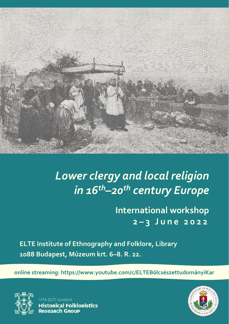

# *Lower clergy and local religion in 16th–20th century Europe*

**International workshop 2 – 3 J u n e 2 0 2 2**

**ELTE Institute of Ethnography and Folklore, Library 1088 Budapest, Múzeum krt. 6–8. R. 22.**

**online streaming: https://www.youtube.com/c/ELTEBölcsészettudományiKar**



**ITA-FLTF Lendület Historical Folkloristics Research Group** 

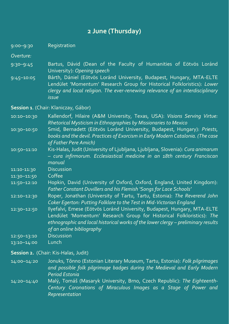## **2 June (Thursday)**

9:00–9:30 Registration

*Overture:*

- 9:30–9:45 Bartus, Dávid (Dean of the Faculty of Humanities of Eötvös Loránd University): *Opening speech*
- 9:45–10:05 Bárth, Dániel (Eötvös Loránd University, Budapest, Hungary, MTA-ELTE Lendület 'Momentum' Research Group for Historical Folkloristics): *Lower clergy and local religion. The ever-renewing relevance of an interdisciplinary issue*

**Session 1**. (Chair: Klaniczay, Gábor)

| $10:10 - 10:30$ | Kallendorf, Hilaire (A&M University, Texas, USA): Visions Serving Virtue:<br>Rhetorical Mysticism in Ethnographies by Missionaries to Mexico                                                                                                                       |
|-----------------|--------------------------------------------------------------------------------------------------------------------------------------------------------------------------------------------------------------------------------------------------------------------|
| $10:30 - 10:50$ | Smid, Bernadett (Eötvös Loránd University, Budapest, Hungary): Priests,<br>books and the devil. Practices of Exorcism in Early Modern Catalonia. (The case<br>of Father Pere Amich)                                                                                |
| $10:50 - 11:10$ | Kis-Halas, Judit (University of Ljubljana, Ljubljana, Slovenia): Cura animarum<br>- cura infirmorum. Ecclesiastical medicine in an 18th century Franciscan<br>manual                                                                                               |
| 11:10-11:30     | <b>Discussion</b>                                                                                                                                                                                                                                                  |
| 11:30-11:50     | Coffee                                                                                                                                                                                                                                                             |
| 11:50-12:10     | Hopkin, David (University of Oxford, Oxford, England, United Kingdom):<br>Father Constant Duvillers and his Flemish 'Songs for Lace Schools'                                                                                                                       |
| 12:10-12:30     | Roper, Jonathan (University of Tartu, Tartu, Estonia): The Reverend John<br>Coker Egerton: Putting Folklore to the Test in Mid-Victorian England                                                                                                                   |
| 12:30-12:50     | Ilyefalvi, Emese (Eötvös Loránd University, Budapest, Hungary, MTA-ELTE<br>Lendület 'Momentum' Research Group for Historical Folkloristics): The<br>ethnographic and local historical works of the lower clergy - preliminary results<br>of an online bibliography |
| $12:50 - 13:10$ | <b>Discussion</b>                                                                                                                                                                                                                                                  |
| 13:10-14:00     | Lunch                                                                                                                                                                                                                                                              |

#### **Session 2.** (Chair: Kis-Halas, Judit)

14:00–14:20 Jonuks, Tõnno (Estonian Literary Museum, Tartu, Estonia): *Folk pilgrimages and possible folk pilgrimage badges during the Medieval and Early Modern Period Estonia*

14:20–14:40 Malý, Tomáš (Masaryk University, Brno, Czech Republic): *The Eighteenth-Century Coronations of Miraculous Images as a Stage of Power and Representation*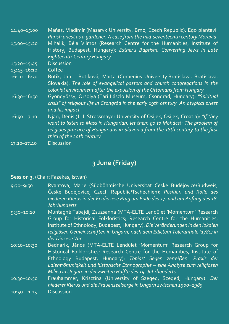| 14:40-15:00     | Maňas, Vladimír (Masaryk University, Brno, Czech Republic): Ego plantavi:<br>Parish priest as a gardener. A case from the mid-seventeenth century Moravia |
|-----------------|-----------------------------------------------------------------------------------------------------------------------------------------------------------|
| 15:00-15:20     | Mihalik, Béla Vilmos (Research Centre for the Humanities, Institute of                                                                                    |
|                 | History, Budapest, Hungary): Esther's Baptism. Converting Jews in Late                                                                                    |
|                 | <b>Eighteenth-Century Hungary</b>                                                                                                                         |
| $15:20 - 15:45$ | <b>Discussion</b>                                                                                                                                         |
| $15:45 - 16:10$ | Coffee                                                                                                                                                    |
| $16:10 - 16:30$ | Botík, Ján – Botiková, Marta (Comenius University Bratislava, Bratislava,                                                                                 |
|                 | Slovakia): The role of evangelical pastors and church congregations in the                                                                                |
|                 | colonial environment after the expulsion of the Ottomans from Hungary                                                                                     |
| $16:30 - 16:50$ | Gyöngyössy, Orsolya (Tari László Museum, Csongrád, Hungary): "Spiritual                                                                                   |
|                 | crisis" of religious life in Csongrád in the early 19th century. An atypical priest                                                                       |
|                 | and his impact                                                                                                                                            |
| $16:50 - 17:10$ | Njari, Denis (J. J. Strossmayer University of Osijek, Osijek, Croatia): "If they                                                                          |
|                 | want to listen to Mass in Hungarian, let them go to Mohács!" The problem of                                                                               |
|                 | religious practice of Hungarians in Slavonia from the 18th century to the first                                                                           |
|                 | third of the 20th century                                                                                                                                 |
| 17:10-17:40     | <b>Discussion</b>                                                                                                                                         |

## **3 June (Friday)**

#### **Session 3**. (Chair: Fazekas, István)

- 9:30–9:50 Ryantová, Marie (Südböhmische Universität České Budějovice/Budweis, České Budějovice, Czech Republic/Tschechien): *Position und Rolle des niederen Klerus in der Erzdiözese Prag am Ende des 17. und am Anfang des 18. Jahrhunderts*
- 9:50–10:10 Muntagné Tabajdi, Zsuzsanna (MTA-ELTE Lendület 'Momentum' Research Group for Historical Folkloristics; Research Centre for the Humanities, Institute of Ethnology, Budapest, Hungary): *Die Veränderungen in den lokalen religiösen Gemeinschaften in Ungarn, nach dem Edictum Tolerantiale (1781) in der Diözese Vác*
- 10:10–10:30 Bednárik, János (MTA-ELTE Lendület 'Momentum' Research Group for Historical Folkloristics; Research Centre for the Humanities, Institute of Ethnology Budapest, Hungary): *Tobias' Segen zerreißen. Praxis der Laienfrömmigkeit und historische Ethnographie – eine Analyse zum religiösen Milieu in Ungarn in der zweiten Hälfte des 19. Jahrhunderts*
- 10:30–10:50 Frauhammer, Krisztina (University of Szeged, Szeged, Hungary): *Der niederer Klerus und die Frauenseelsorge in Ungarn zwischen 1900−1989* 10:50–11:15 Discussion